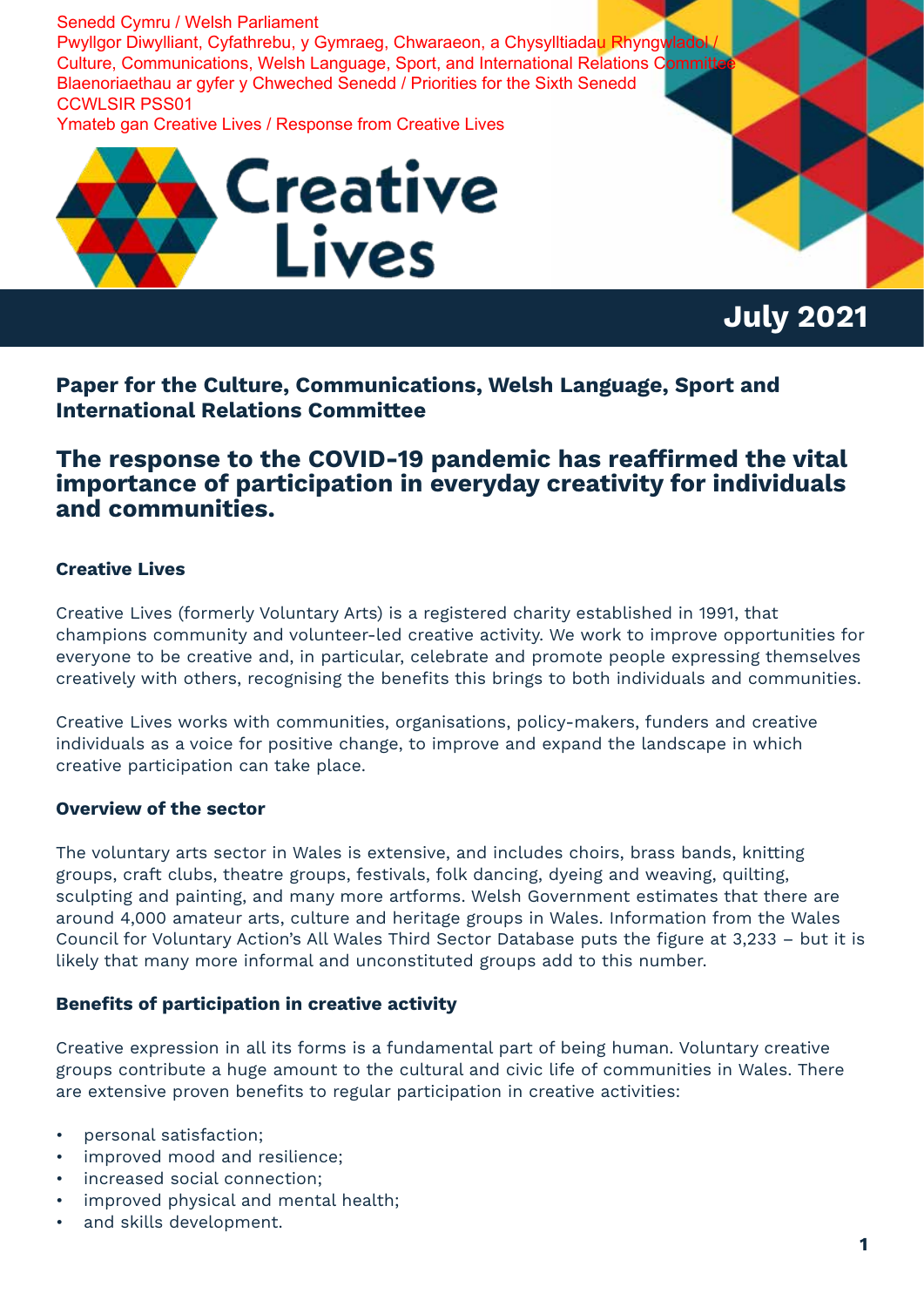Senedd Cymru / Welsh Parliament Pwyllgor Diwylliant, Cyfathrebu, y Gymraeg, Chwaraeon, a Chysylltiadau Rhyngwladol Culture, Communications, Welsh Language, Sport, and International Relations Committe Blaenoriaethau ar gyfer y Chweched Senedd / Priorities for the Sixth Senedd CCWLSIR PSS01

Ymateb gan Creative Lives / Response from Creative Lives



**July 2021**

**Paper for the Culture, Communications, Welsh Language, Sport and International Relations Committee**

# **The response to the COVID-19 pandemic has reaffirmed the vital importance of participation in everyday creativity for individuals and communities.**

# **Creative Lives**

Creative Lives (formerly Voluntary Arts) is a registered charity established in 1991, that champions community and volunteer-led creative activity. We work to improve opportunities for everyone to be creative and, in particular, celebrate and promote people expressing themselves creatively with others, recognising the benefits this brings to both individuals and communities.

Creative Lives works with communities, organisations, policy-makers, funders and creative individuals as a voice for positive change, to improve and expand the landscape in which creative participation can take place.

# **Overview of the sector**

The voluntary arts sector in Wales is extensive, and includes choirs, brass bands, knitting groups, craft clubs, theatre groups, festivals, folk dancing, dyeing and weaving, quilting, sculpting and painting, and many more artforms. Welsh Government estimates that there are around 4,000 amateur arts, culture and heritage groups in Wales. Information from the Wales Council for Voluntary Action's All Wales Third Sector Database puts the figure at 3,233 – but it is likely that many more informal and unconstituted groups add to this number.

#### **Benefits of participation in creative activity**

Creative expression in all its forms is a fundamental part of being human. Voluntary creative groups contribute a huge amount to the cultural and civic life of communities in Wales. There are extensive proven benefits to regular participation in creative activities:

- personal satisfaction;
- improved mood and resilience;
- increased social connection;
- improved physical and mental health:
- and skills development.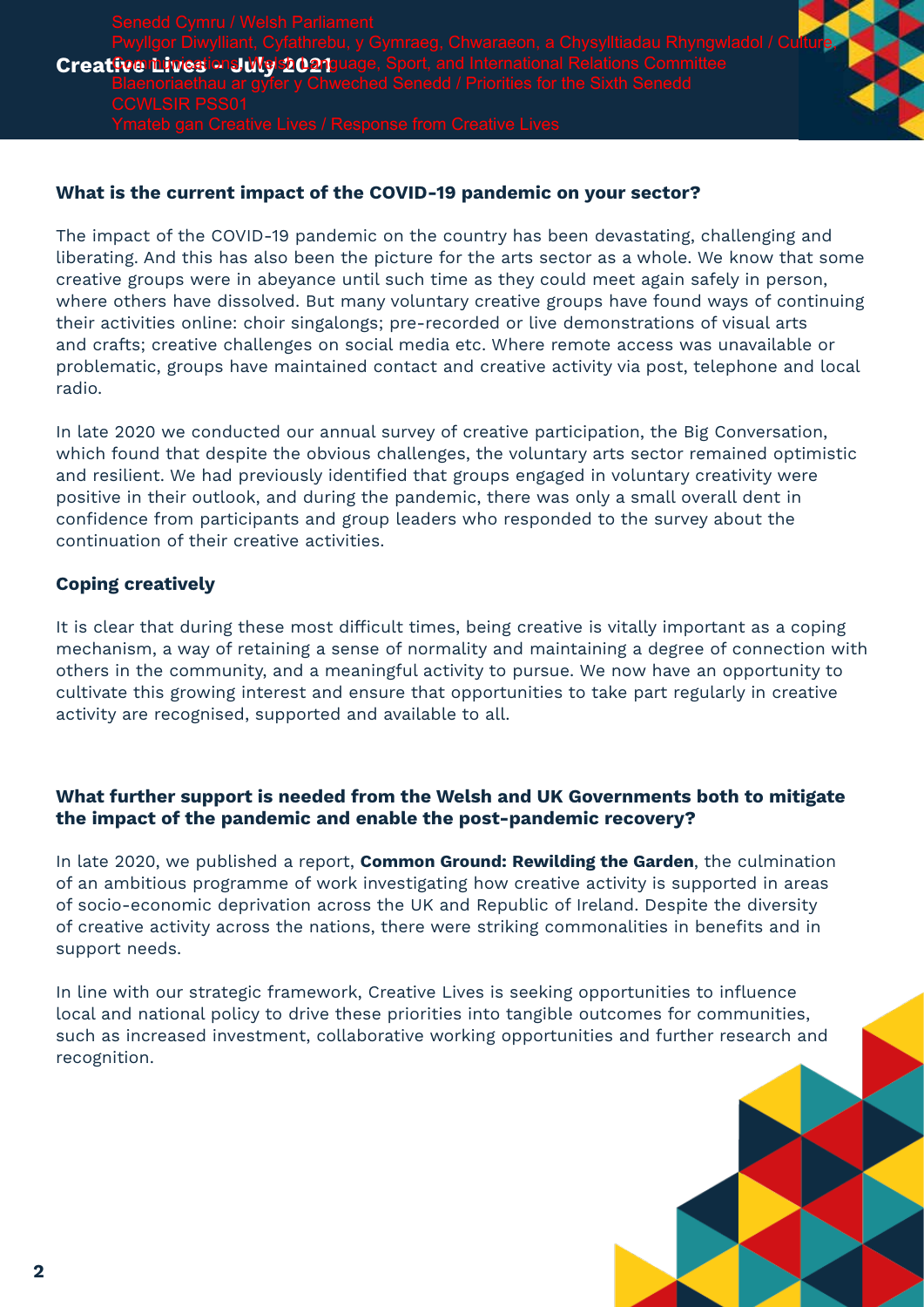**Creative Livesions Wg 2021 guage**, Sport, and International Relations Committee Pwyllgor Diwylliant, Cyfathrebu, y Gymraeg, Chwaraeon, a Chysylltiadau Rhyngwladol / Culture,

### **What is the current impact of the COVID-19 pandemic on your sector?**

The impact of the COVID-19 pandemic on the country has been devastating, challenging and liberating. And this has also been the picture for the arts sector as a whole. We know that some creative groups were in abeyance until such time as they could meet again safely in person, where others have dissolved. But many voluntary creative groups have found ways of continuing their activities online: choir singalongs; pre-recorded or live demonstrations of visual arts and crafts; creative challenges on social media etc. Where remote access was unavailable or problematic, groups have maintained contact and creative activity via post, telephone and local radio.

In late 2020 we conducted our annual survey of creative participation, the Big Conversation, which found that despite the obvious challenges, the voluntary arts sector remained optimistic and resilient. We had previously identified that groups engaged in voluntary creativity were positive in their outlook, and during the pandemic, there was only a small overall dent in confidence from participants and group leaders who responded to the survey about the continuation of their creative activities.

#### **Coping creatively**

It is clear that during these most difficult times, being creative is vitally important as a coping mechanism, a way of retaining a sense of normality and maintaining a degree of connection with others in the community, and a meaningful activity to pursue. We now have an opportunity to cultivate this growing interest and ensure that opportunities to take part regularly in creative activity are recognised, supported and available to all.

# **What further support is needed from the Welsh and UK Governments both to mitigate the impact of the pandemic and enable the post-pandemic recovery?**

In late 2020, we published a report, **Common Ground: Rewilding the Garden**, the culmination of an ambitious programme of work investigating how creative activity is supported in areas of socio-economic deprivation across the UK and Republic of Ireland. Despite the diversity of creative activity across the nations, there were striking commonalities in benefits and in support needs.

In line with our strategic framework, Creative Lives is seeking opportunities to influence local and national policy to drive these priorities into tangible outcomes for communities, such as increased investment, collaborative working opportunities and further research and recognition.